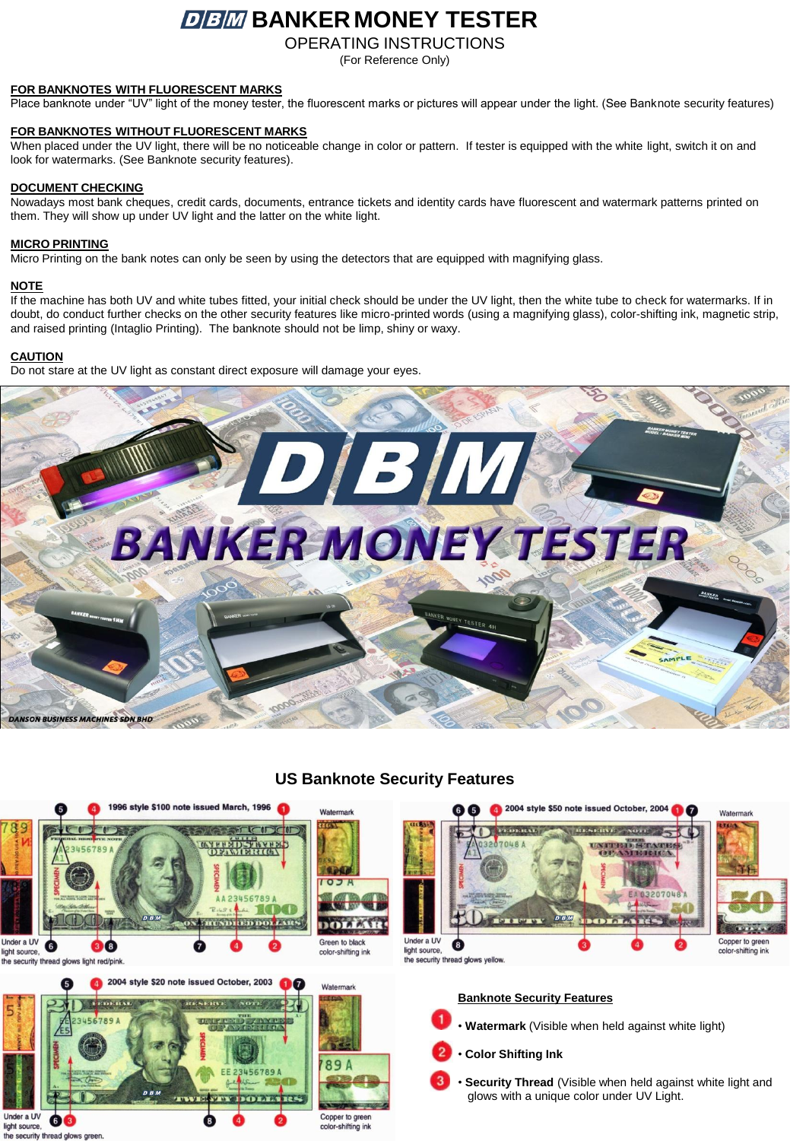# *BBM* BANKER MONEY TESTER

OPERATING INSTRUCTIONS

(For Reference Only)

## **FOR BANKNOTES WITH FLUORESCENT MARKS**

Place banknote under "UV" light of the money tester, the fluorescent marks or pictures will appear under the light. (See Banknote security features)

# **FOR BANKNOTES WITHOUT FLUORESCENT MARKS**

When placed under the UV light, there will be no noticeable change in color or pattern. If tester is equipped with the white light, switch it on and look for watermarks. (See Banknote security features).

# **DOCUMENT CHECKING**

Nowadays most bank cheques, credit cards, documents, entrance tickets and identity cards have fluorescent and watermark patterns printed on them. They will show up under UV light and the latter on the white light.

#### **MICRO PRINTING**

Micro Printing on the bank notes can only be seen by using the detectors that are equipped with magnifying glass.

# **NOTE**

If the machine has both UV and white tubes fitted, your initial check should be under the UV light, then the white tube to check for watermarks. If in doubt, do conduct further checks on the other security features like micro-printed words (using a magnifying glass), color-shifting ink, magnetic strip, and raised printing (Intaglio Printing). The banknote should not be limp, shiny or waxy.

#### **CAUTION**

Do not stare at the UV light as constant direct exposure will damage your eyes.



# **US Banknote Security Features**